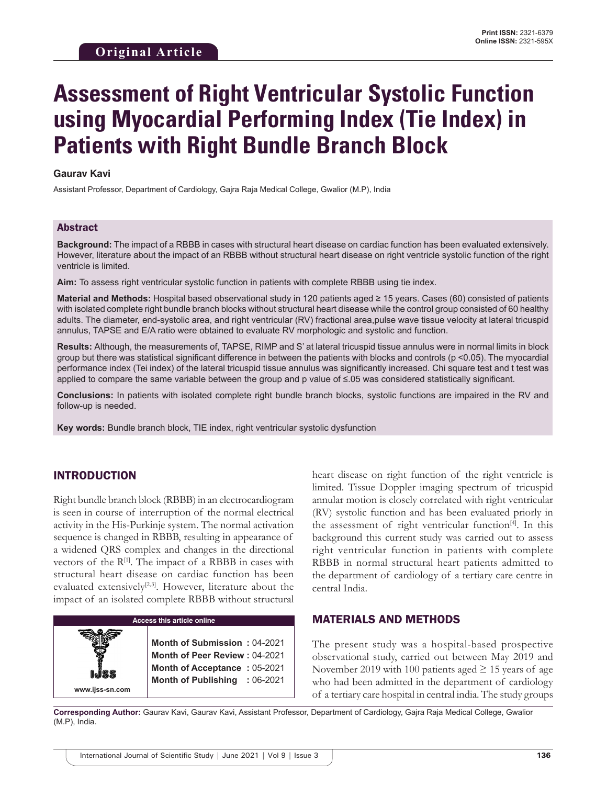# **Assessment of Right Ventricular Systolic Function using Myocardial Performing Index (Tie Index) in Patients with Right Bundle Branch Block**

#### **Gaurav Kavi**

Assistant Professor, Department of Cardiology, Gajra Raja Medical College, Gwalior (M.P), India

#### Abstract

**Background:** The impact of a RBBB in cases with structural heart disease on cardiac function has been evaluated extensively. However, literature about the impact of an RBBB without structural heart disease on right ventricle systolic function of the right ventricle is limited.

**Aim:** To assess right ventricular systolic function in patients with complete RBBB using tie index.

**Material and Methods:** Hospital based observational study in 120 patients aged ≥ 15 years. Cases (60) consisted of patients with isolated complete right bundle branch blocks without structural heart disease while the control group consisted of 60 healthy adults. The diameter, end-systolic area, and right ventricular (RV) fractional area,pulse wave tissue velocity at lateral tricuspid annulus, TAPSE and E/A ratio were obtained to evaluate RV morphologic and systolic and function.

**Results:** Although, the measurements of, TAPSE, RIMP and S' at lateral tricuspid tissue annulus were in normal limits in block group but there was statistical significant difference in between the patients with blocks and controls (p <0.05). The myocardial performance index (Tei index) of the lateral tricuspid tissue annulus was significantly increased. Chi square test and t test was applied to compare the same variable between the group and p value of ≤.05 was considered statistically significant.

**Conclusions:** In patients with isolated complete right bundle branch blocks, systolic functions are impaired in the RV and follow-up is needed.

**Key words:** Bundle branch block, TIE index, right ventricular systolic dysfunction

## INTRODUCTION

Right bundle branch block (RBBB) in an electrocardiogram is seen in course of interruption of the normal electrical activity in the His-Purkinje system. The normal activation sequence is changed in RBBB, resulting in appearance of a widened QRS complex and changes in the directional vectors of the  $R^{[1]}$ . The impact of a RBBB in cases with structural heart disease on cardiac function has been evaluated extensively<sup>[2,3]</sup>. However, literature about the impact of an isolated complete RBBB without structural

| <b>Access this article online</b>                                                                                                                   |  |  |  |  |  |  |  |
|-----------------------------------------------------------------------------------------------------------------------------------------------------|--|--|--|--|--|--|--|
| <b>Month of Submission: 04-2021</b><br><b>Month of Peer Review: 04-2021</b><br><b>Month of Acceptance: 05-2021</b><br>Month of Publishing : 06-2021 |  |  |  |  |  |  |  |
|                                                                                                                                                     |  |  |  |  |  |  |  |

heart disease on right function of the right ventricle is limited. Tissue Doppler imaging spectrum of tricuspid annular motion is closely correlated with right ventricular (RV) systolic function and has been evaluated priorly in the assessment of right ventricular function<sup>[4]</sup>. In this background this current study was carried out to assess right ventricular function in patients with complete RBBB in normal structural heart patients admitted to the department of cardiology of a tertiary care centre in central India.

### MATERIALS AND METHODS

The present study was a hospital-based prospective observational study, carried out between May 2019 and November 2019 with 100 patients aged  $\geq$  15 years of age who had been admitted in the department of cardiology of a tertiary care hospital in central india. The study groups

**Corresponding Author:** Gaurav Kavi, Gaurav Kavi, Assistant Professor, Department of Cardiology, Gajra Raja Medical College, Gwalior (M.P), India.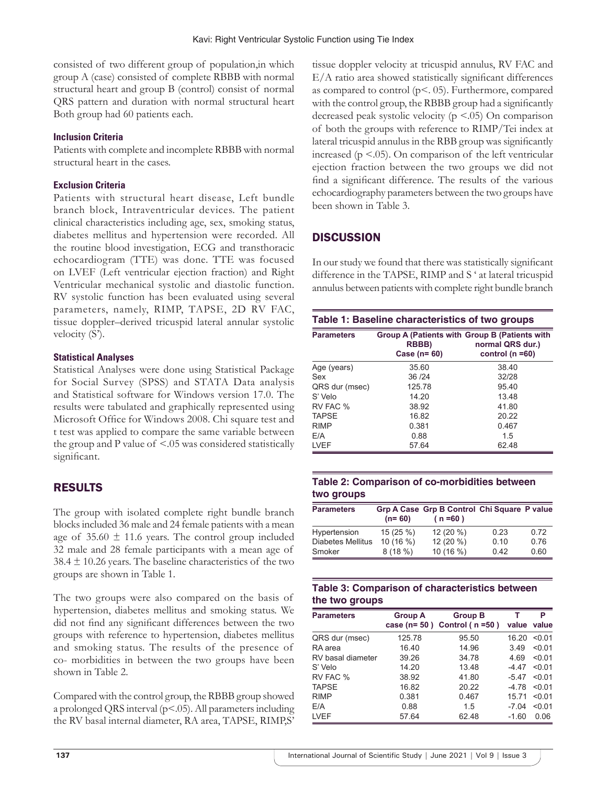consisted of two different group of population,in which group A (case) consisted of complete RBBB with normal structural heart and group B (control) consist of normal QRS pattern and duration with normal structural heart Both group had 60 patients each.

## **Inclusion Criteria**

Patients with complete and incomplete RBBB with normal structural heart in the cases.

## **Exclusion Criteria**

Patients with structural heart disease, Left bundle branch block, Intraventricular devices. The patient clinical characteristics including age, sex, smoking status, diabetes mellitus and hypertension were recorded. All the routine blood investigation, ECG and transthoracic echocardiogram (TTE) was done. TTE was focused on LVEF (Left ventricular ejection fraction) and Right Ventricular mechanical systolic and diastolic function. RV systolic function has been evaluated using several parameters, namely, RIMP, TAPSE, 2D RV FAC, tissue doppler–derived tricuspid lateral annular systolic velocity (S').

## **Statistical Analyses**

Statistical Analyses were done using Statistical Package for Social Survey (SPSS) and STATA Data analysis and Statistical software for Windows version 17.0. The results were tabulated and graphically represented using Microsoft Office for Windows 2008. Chi square test and t test was applied to compare the same variable between the group and P value of <.05 was considered statistically significant.

# RESULTS

The group with isolated complete right bundle branch blocks included 36 male and 24 female patients with a mean age of  $35.60 \pm 11.6$  years. The control group included 32 male and 28 female participants with a mean age of  $38.4 \pm 10.26$  years. The baseline characteristics of the two groups are shown in Table 1.

The two groups were also compared on the basis of hypertension, diabetes mellitus and smoking status. We did not find any significant differences between the two groups with reference to hypertension, diabetes mellitus and smoking status. The results of the presence of co- morbidities in between the two groups have been shown in Table 2.

Compared with the control group, the RBBB group showed a prolonged QRS interval (p<.05). All parameters including the RV basal internal diameter, RA area, TAPSE, RIMP,S'

tissue doppler velocity at tricuspid annulus, RV FAC and E/A ratio area showed statistically significant differences as compared to control (p<. 05). Furthermore, compared with the control group, the RBBB group had a significantly decreased peak systolic velocity ( $p \le 0.05$ ) On comparison of both the groups with reference to RIMP/Tei index at lateral tricuspid annulus in the RBB group was significantly increased ( $p < 0.05$ ). On comparison of the left ventricular ejection fraction between the two groups we did not find a significant difference. The results of the various echocardiography parameters between the two groups have been shown in Table 3.

# **DISCUSSION**

In our study we found that there was statistically significant difference in the TAPSE, RIMP and S ' at lateral tricuspid annulus between patients with complete right bundle branch

| Table 1: Baseline characteristics of two groups |                        |                                                                                           |  |  |  |  |
|-------------------------------------------------|------------------------|-------------------------------------------------------------------------------------------|--|--|--|--|
| <b>Parameters</b>                               | RBBB)<br>Case $(n=60)$ | Group A (Patients with Group B (Patients with<br>normal QRS dur.)<br>control ( $n = 60$ ) |  |  |  |  |
| Age (years)                                     | 35.60                  | 38.40                                                                                     |  |  |  |  |
| Sex                                             | 36/24                  | 32/28                                                                                     |  |  |  |  |
| QRS dur (msec)                                  | 125.78                 | 95.40                                                                                     |  |  |  |  |
| S' Velo                                         | 14.20                  | 13.48                                                                                     |  |  |  |  |
| RV FAC %                                        | 38.92                  | 41.80                                                                                     |  |  |  |  |
| <b>TAPSE</b>                                    | 16.82                  | 20.22                                                                                     |  |  |  |  |
| <b>RIMP</b>                                     | 0.381                  | 0.467                                                                                     |  |  |  |  |
| E/A                                             | 0.88                   | 1.5                                                                                       |  |  |  |  |
| <b>LVEF</b>                                     | 57.64                  | 62.48                                                                                     |  |  |  |  |

## **Table 2: Comparison of co-morbidities between two groups**

| <b>Parameters</b>        | $(n=60)$  | Grp A Case Grp B Control Chi Square P value<br>$(n = 60)$ |      |      |
|--------------------------|-----------|-----------------------------------------------------------|------|------|
| Hypertension             | 15 (25 %) | 12 (20 %)                                                 | 0.23 | 0.72 |
| <b>Diabetes Mellitus</b> | 10(16%)   | 12 (20 %)                                                 | 0.10 | 0.76 |
| Smoker                   | 8(18%)    | 10 (16 %)                                                 | 0.42 | 0.60 |

## **Table 3: Comparison of characteristics between the two groups**

| <b>Parameters</b> | <b>Group A</b> | <b>Group B</b><br>case ( $n = 50$ ) Control ( $n = 50$ ) | т       | P<br>value value |
|-------------------|----------------|----------------------------------------------------------|---------|------------------|
| QRS dur (msec)    | 125.78         | 95.50                                                    | 16.20   | < 0.01           |
| RA area           | 16.40          | 14.96                                                    | 3.49    | < 0.01           |
| RV basal diameter | 39.26          | 34.78                                                    | 4.69    | < 0.01           |
| S' Velo           | 14.20          | 13.48                                                    | -4 47   | < 0.01           |
| RV FAC %          | 38.92          | 41.80                                                    | $-5.47$ | < 0.01           |
| <b>TAPSE</b>      | 16.82          | 20.22                                                    | -4 78   | $<$ 0.1          |
| <b>RIMP</b>       | 0.381          | 0.467                                                    | 15.71   | < 0.01           |
| E/A               | 0.88           | 1.5                                                      | $-7.04$ | < 0.01           |
| <b>LVEF</b>       | 57.64          | 62.48                                                    | $-1.60$ | 0.06             |